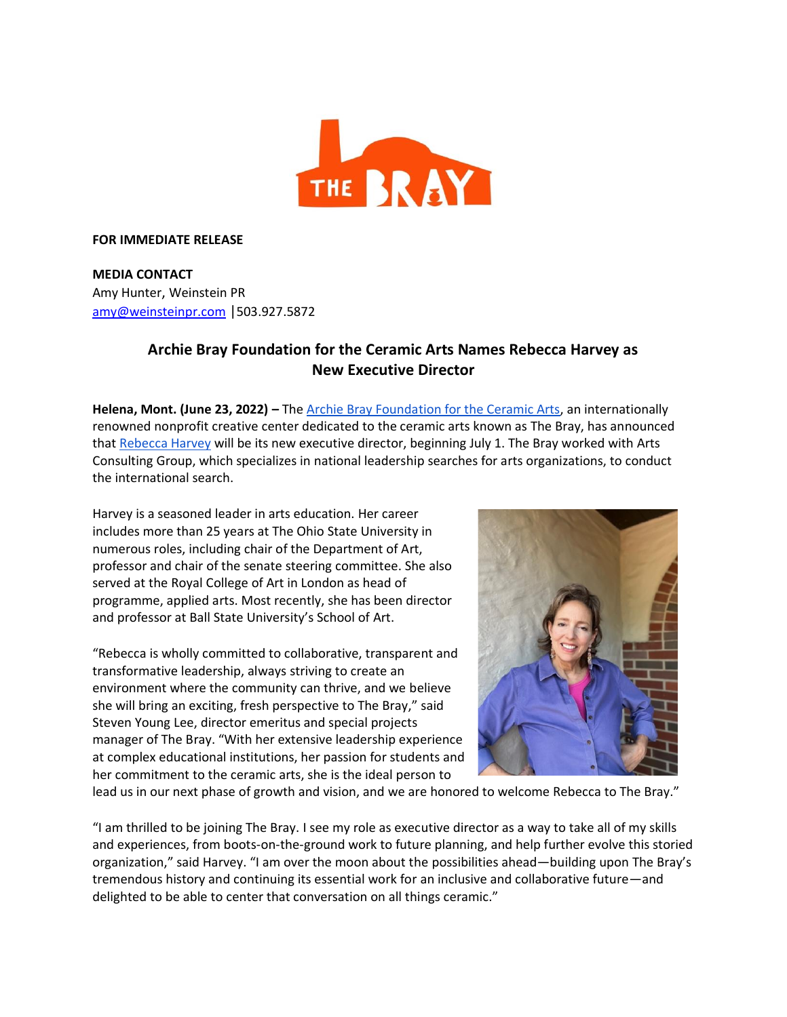

## **FOR IMMEDIATE RELEASE**

**MEDIA CONTACT** Amy Hunter, Weinstein PR amy@weinsteinpr.com |503.927.5872

## **Archie Bray Foundation for the Ceramic Arts Names Rebecca Harvey as New Executive Director**

**Helena, Mont. (June 23, 2022) –** The Archie Bray Foundation for the Ceramic Arts, an internationally renowned nonprofit creative center dedicated to the ceramic arts known as The Bray, has announced that Rebecca Harvey will be its new executive director, beginning July 1. The Bray worked with Arts Consulting Group, which specializes in national leadership searches for arts organizations, to conduct the international search.

Harvey is a seasoned leader in arts education. Her career includes more than 25 years at The Ohio State University in numerous roles, including chair of the Department of Art, professor and chair of the senate steering committee. She also served at the Royal College of Art in London as head of programme, applied arts. Most recently, she has been director and professor at Ball State University's School of Art.

"Rebecca is wholly committed to collaborative, transparent and transformative leadership, always striving to create an environment where the community can thrive, and we believe she will bring an exciting, fresh perspective to The Bray," said Steven Young Lee, director emeritus and special projects manager of The Bray. "With her extensive leadership experience at complex educational institutions, her passion for students and her commitment to the ceramic arts, she is the ideal person to



lead us in our next phase of growth and vision, and we are honored to welcome Rebecca to The Bray."

"I am thrilled to be joining The Bray. I see my role as executive director as a way to take all of my skills and experiences, from boots-on-the-ground work to future planning, and help further evolve this storied organization," said Harvey. "I am over the moon about the possibilities ahead—building upon The Bray's tremendous history and continuing its essential work for an inclusive and collaborative future—and delighted to be able to center that conversation on all things ceramic."